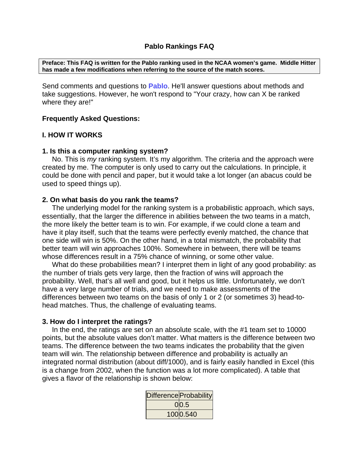**Preface: This FAQ is written for the Pablo ranking used in the NCAA women's game. Middle Hitter has made a few modifications when referring to the source of the match scores.** 

Send comments and questions to **Pablo**. He'll answer questions about methods and take suggestions. However, he won't respond to "Your crazy, how can X be ranked where they are!"

## **Frequently Asked Questions:**

## **I. HOW IT WORKS**

#### **1. Is this a computer ranking system?**

 No. This is *my* ranking system. It's my algorithm. The criteria and the approach were created by me. The computer is only used to carry out the calculations. In principle, it could be done with pencil and paper, but it would take a lot longer (an abacus could be used to speed things up).

## **2. On what basis do you rank the teams?**

 The underlying model for the ranking system is a probabilistic approach, which says, essentially, that the larger the difference in abilities between the two teams in a match, the more likely the better team is to win. For example, if we could clone a team and have it play itself, such that the teams were perfectly evenly matched, the chance that one side will win is 50%. On the other hand, in a total mismatch, the probability that better team will win approaches 100%. Somewhere in between, there will be teams whose differences result in a 75% chance of winning, or some other value.

What do these probabilities mean? I interpret them in light of any good probability: as the number of trials gets very large, then the fraction of wins will approach the probability. Well, that's all well and good, but it helps us little. Unfortunately, we don't have a very large number of trials, and we need to make assessments of the differences between two teams on the basis of only 1 or 2 (or sometimes 3) head-tohead matches. Thus, the challenge of evaluating teams.

#### **3. How do I interpret the ratings?**

 In the end, the ratings are set on an absolute scale, with the #1 team set to 10000 points, but the absolute values don't matter. What matters is the difference between two teams. The difference between the two teams indicates the probability that the given team will win. The relationship between difference and probability is actually an integrated normal distribution (about diff/1000), and is fairly easily handled in Excel (this is a change from 2002, when the function was a lot more complicated). A table that gives a flavor of the relationship is shown below:

| Difference Probability |
|------------------------|
| 0 0.5                  |
| 1000.540               |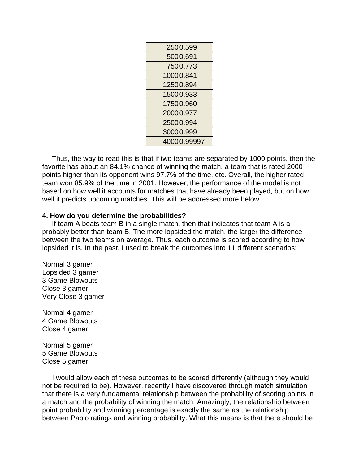| 2500.599    |
|-------------|
| 5000.691    |
| 7500.773    |
| 10000.841   |
| 12500.894   |
| 15000.933   |
| 17500.960   |
| 20000.977   |
| 25000.994   |
| 30000.999   |
| 40000.99997 |

 Thus, the way to read this is that if two teams are separated by 1000 points, then the favorite has about an 84.1% chance of winning the match, a team that is rated 2000 points higher than its opponent wins 97.7% of the time, etc. Overall, the higher rated team won 85.9% of the time in 2001. However, the performance of the model is not based on how well it accounts for matches that have already been played, but on how well it predicts upcoming matches. This will be addressed more below.

#### **4. How do you determine the probabilities?**

 If team A beats team B in a single match, then that indicates that team A is a probably better than team B. The more lopsided the match, the larger the difference between the two teams on average. Thus, each outcome is scored according to how lopsided it is. In the past, I used to break the outcomes into 11 different scenarios:

Normal 3 gamer Lopsided 3 gamer 3 Game Blowouts Close 3 gamer Very Close 3 gamer

Normal 4 gamer 4 Game Blowouts Close 4 gamer

Normal 5 gamer 5 Game Blowouts Close 5 gamer

 I would allow each of these outcomes to be scored differently (although they would not be required to be). However, recently I have discovered through match simulation that there is a very fundamental relationship between the probability of scoring points in a match and the probability of winning the match. Amazingly, the relationship between point probability and winning percentage is exactly the same as the relationship between Pablo ratings and winning probability. What this means is that there should be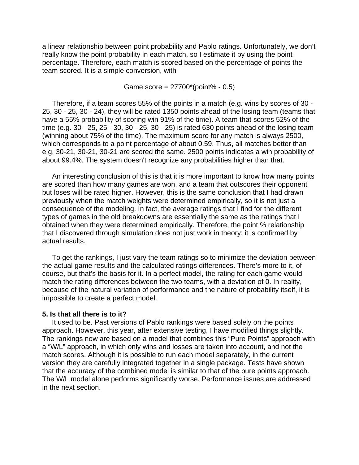a linear relationship between point probability and Pablo ratings. Unfortunately, we don't really know the point probability in each match, so I estimate it by using the point percentage. Therefore, each match is scored based on the percentage of points the team scored. It is a simple conversion, with

Game score = 27700\*(point% - 0.5)

 Therefore, if a team scores 55% of the points in a match (e.g. wins by scores of 30 - 25, 30 - 25, 30 - 24), they will be rated 1350 points ahead of the losing team (teams that have a 55% probability of scoring win 91% of the time). A team that scores 52% of the time (e.g.  $30 - 25$ ,  $25 - 30$ ,  $30 - 25$ ,  $30 - 25$ ) is rated 630 points ahead of the losing team (winning about 75% of the time). The maximum score for any match is always 2500, which corresponds to a point percentage of about 0.59. Thus, all matches better than e.g. 30-21, 30-21, 30-21 are scored the same. 2500 points indicates a win probability of about 99.4%. The system doesn't recognize any probabilities higher than that.

 An interesting conclusion of this is that it is more important to know how many points are scored than how many games are won, and a team that outscores their opponent but loses will be rated higher. However, this is the same conclusion that I had drawn previously when the match weights were determined empirically, so it is not just a consequence of the modeling. In fact, the average ratings that I find for the different types of games in the old breakdowns are essentially the same as the ratings that I obtained when they were determined empirically. Therefore, the point % relationship that I discovered through simulation does not just work in theory; it is confirmed by actual results.

 To get the rankings, I just vary the team ratings so to minimize the deviation between the actual game results and the calculated ratings differences. There's more to it, of course, but that's the basis for it. In a perfect model, the rating for each game would match the rating differences between the two teams, with a deviation of 0. In reality, because of the natural variation of performance and the nature of probability itself, it is impossible to create a perfect model.

#### **5. Is that all there is to it?**

 It used to be. Past versions of Pablo rankings were based solely on the points approach. However, this year, after extensive testing, I have modified things slightly. The rankings now are based on a model that combines this "Pure Points" approach with a "W/L" approach, in which only wins and losses are taken into account, and not the match scores. Although it is possible to run each model separately, in the current version they are carefully integrated together in a single package. Tests have shown that the accuracy of the combined model is similar to that of the pure points approach. The W/L model alone performs significantly worse. Performance issues are addressed in the next section.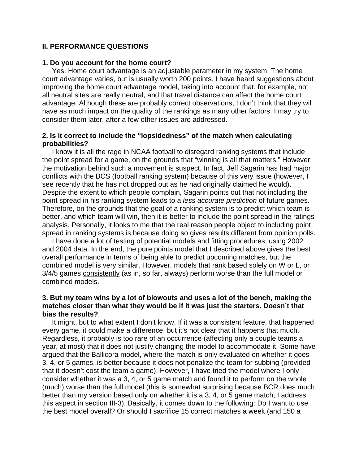### **II. PERFORMANCE QUESTIONS**

#### **1. Do you account for the home court?**

 Yes. Home court advantage is an adjustable parameter in my system. The home court advantage varies, but is usually worth 200 points. I have heard suggestions about improving the home court advantage model, taking into account that, for example, not all neutral sites are really neutral, and that travel distance can affect the home court advantage. Although these are probably correct observations, I don't think that they will have as much impact on the quality of the rankings as many other factors. I may try to consider them later, after a few other issues are addressed.

## **2. Is it correct to include the "lopsidedness" of the match when calculating probabilities?**

 I know it is all the rage in NCAA football to disregard ranking systems that include the point spread for a game, on the grounds that "winning is all that matters." However, the motivation behind such a movement is suspect. In fact, Jeff Sagarin has had major conflicts with the BCS (football ranking system) because of this very issue (however, I see recently that he has not dropped out as he had originally claimed he would). Despite the extent to which people complain, Sagarin points out that not including the point spread in his ranking system leads to a *less accurate prediction* of future games. Therefore, on the grounds that the goal of a ranking system is to predict which team is better, and which team will win, then it is better to include the point spread in the ratings analysis. Personally, it looks to me that the real reason people object to including point spread in ranking systems is because doing so gives results different from opinion polls.

 I have done a lot of testing of potential models and fitting procedures, using 2002 and 2004 data. In the end, the pure points model that I described above gives the best overall performance in terms of being able to predict upcoming matches, but the combined model is very similar. However, models that rank based solely on W or L, or 3/4/5 games consistently (as in, so far, always) perform worse than the full model or combined models.

# **3. But my team wins by a lot of blowouts and uses a lot of the bench, making the matches closer than what they would be if it was just the starters. Doesn't that bias the results?**

 It might, but to what extent I don't know. If it was a consistent feature, that happened every game, it could make a difference, but it's not clear that it happens that much. Regardless, it probably is too rare of an occurrence (affecting only a couple teams a year, at most) that it does not justify changing the model to accommodate it. Some have argued that the Ballicora model, where the match is only evaluated on whether it goes 3, 4, or 5 games, is better because it does not penalize the team for subbing (provided that it doesn't cost the team a game). However, I have tried the model where I only consider whether it was a 3, 4, or 5 game match and found it to perform on the whole (much) worse than the full model (this is somewhat surprising because BCR does much better than my version based only on whether it is a 3, 4, or 5 game match; I address this aspect in section III-3). Basically, it comes down to the following: Do I want to use the best model overall? Or should I sacrifice 15 correct matches a week (and 150 a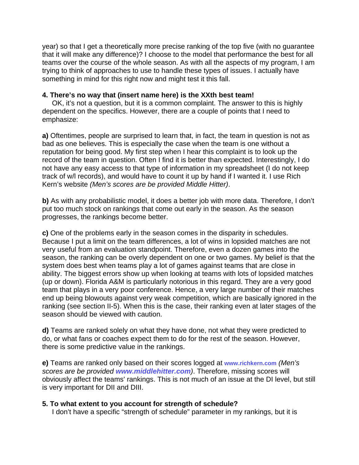year) so that I get a theoretically more precise ranking of the top five (with no guarantee that it will make any difference)? I choose to the model that performance the best for all teams over the course of the whole season. As with all the aspects of my program, I am trying to think of approaches to use to handle these types of issues. I actually have something in mind for this right now and might test it this fall.

### **4. There's no way that (insert name here) is the XXth best team!**

 OK, it's not a question, but it is a common complaint. The answer to this is highly dependent on the specifics. However, there are a couple of points that I need to emphasize:

**a)** Oftentimes, people are surprised to learn that, in fact, the team in question is not as bad as one believes. This is especially the case when the team is one without a reputation for being good. My first step when I hear this complaint is to look up the record of the team in question. Often I find it is better than expected. Interestingly, I do not have any easy access to that type of information in my spreadsheet (I do not keep track of w/l records), and would have to count it up by hand if I wanted it. I use Rich Kern's website *(Men's scores are be provided Middle Hitter)*.

**b)** As with any probabilistic model, it does a better job with more data. Therefore, I don't put too much stock on rankings that come out early in the season. As the season progresses, the rankings become better.

**c)** One of the problems early in the season comes in the disparity in schedules. Because I put a limit on the team differences, a lot of wins in lopsided matches are not very useful from an evaluation standpoint. Therefore, even a dozen games into the season, the ranking can be overly dependent on one or two games. My belief is that the system does best when teams play a lot of games against teams that are close in ability. The biggest errors show up when looking at teams with lots of lopsided matches (up or down). Florida A&M is particularly notorious in this regard. They are a very good team that plays in a very poor conference. Hence, a very large number of their matches end up being blowouts against very weak competition, which are basically ignored in the ranking (see section II-5). When this is the case, their ranking even at later stages of the season should be viewed with caution.

**d)** Teams are ranked solely on what they have done, not what they were predicted to do, or what fans or coaches expect them to do for the rest of the season. However, there is some predictive value in the rankings.

**e)** Teams are ranked only based on their scores logged at **www.richkern.com** *(Men's scores are be provided www.middlehitter.com)*. Therefore, missing scores will obviously affect the teams' rankings. This is not much of an issue at the DI level, but still is very important for DII and DIII.

#### **5. To what extent to you account for strength of schedule?**

I don't have a specific "strength of schedule" parameter in my rankings, but it is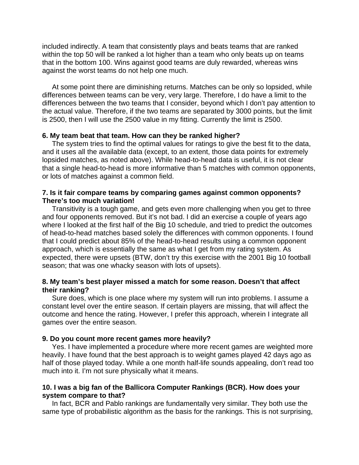included indirectly. A team that consistently plays and beats teams that are ranked within the top 50 will be ranked a lot higher than a team who only beats up on teams that in the bottom 100. Wins against good teams are duly rewarded, whereas wins against the worst teams do not help one much.

 At some point there are diminishing returns. Matches can be only so lopsided, while differences between teams can be very, very large. Therefore, I do have a limit to the differences between the two teams that I consider, beyond which I don't pay attention to the actual value. Therefore, if the two teams are separated by 3000 points, but the limit is 2500, then I will use the 2500 value in my fitting. Currently the limit is 2500.

## **6. My team beat that team. How can they be ranked higher?**

 The system tries to find the optimal values for ratings to give the best fit to the data, and it uses all the available data (except, to an extent, those data points for extremely lopsided matches, as noted above). While head-to-head data is useful, it is not clear that a single head-to-head is more informative than 5 matches with common opponents, or lots of matches against a common field.

# **7. Is it fair compare teams by comparing games against common opponents? There's too much variation!**

 Transitivity is a tough game, and gets even more challenging when you get to three and four opponents removed. But it's not bad. I did an exercise a couple of years ago where I looked at the first half of the Big 10 schedule, and tried to predict the outcomes of head-to-head matches based solely the differences with common opponents. I found that I could predict about 85% of the head-to-head results using a common opponent approach, which is essentially the same as what I get from my rating system. As expected, there were upsets (BTW, don't try this exercise with the 2001 Big 10 football season; that was one whacky season with lots of upsets).

## **8. My team's best player missed a match for some reason. Doesn't that affect their ranking?**

 Sure does, which is one place where my system will run into problems. I assume a constant level over the entire season. If certain players are missing, that will affect the outcome and hence the rating. However, I prefer this approach, wherein I integrate all games over the entire season.

# **9. Do you count more recent games more heavily?**

 Yes. I have implemented a procedure where more recent games are weighted more heavily. I have found that the best approach is to weight games played 42 days ago as half of those played today. While a one month half-life sounds appealing, don't read too much into it. I'm not sure physically what it means.

# **10. I was a big fan of the Ballicora Computer Rankings (BCR). How does your system compare to that?**

 In fact, BCR and Pablo rankings are fundamentally very similar. They both use the same type of probabilistic algorithm as the basis for the rankings. This is not surprising,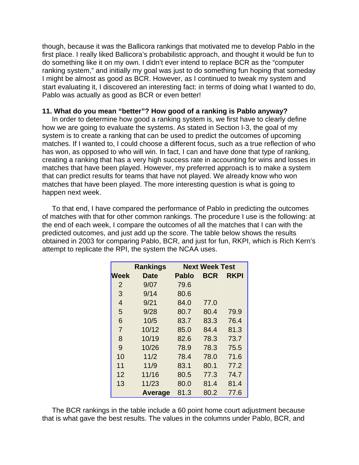though, because it was the Ballicora rankings that motivated me to develop Pablo in the first place. I really liked Ballicora's probabilistic approach, and thought it would be fun to do something like it on my own. I didn't ever intend to replace BCR as the "computer ranking system," and initially my goal was just to do something fun hoping that someday I might be almost as good as BCR. However, as I continued to tweak my system and start evaluating it, I discovered an interesting fact: in terms of doing what I wanted to do, Pablo was actually as good as BCR or even better!

#### **11. What do you mean "better"? How good of a ranking is Pablo anyway?**

 In order to determine how good a ranking system is, we first have to clearly define how we are going to evaluate the systems. As stated in Section I-3, the goal of my system is to create a ranking that can be used to predict the outcomes of upcoming matches. If I wanted to, I could choose a different focus, such as a true reflection of who has won, as opposed to who will win. In fact, I can and have done that type of ranking, creating a ranking that has a very high success rate in accounting for wins and losses in matches that have been played. However, my preferred approach is to make a system that can predict results for teams that have not played. We already know who won matches that have been played. The more interesting question is what is going to happen next week.

 To that end, I have compared the performance of Pablo in predicting the outcomes of matches with that for other common rankings. The procedure I use is the following: at the end of each week, I compare the outcomes of all the matches that I can with the predicted outcomes, and just add up the score. The table below shows the results obtained in 2003 for comparing Pablo, BCR, and just for fun, RKPI, which is Rich Kern's attempt to replicate the RPI, the system the NCAA uses.

|                | <b>Rankings</b> | <b>Next Week Test</b> |            |      |
|----------------|-----------------|-----------------------|------------|------|
| <b>Week</b>    | Date            | <b>Pablo</b>          | <b>BCR</b> | RKPI |
| 2              | 9/07            | 79.6                  |            |      |
| 3              | 9/14            | 80.6                  |            |      |
| $\overline{4}$ | 9/21            | 84.0                  | 77.0       |      |
| 5              | 9/28            | 80.7                  | 80.4       | 79.9 |
| 6              | 10/5            | 83.7                  | 83.3       | 76.4 |
| $\overline{7}$ | 10/12           | 85.0                  | 84.4       | 81.3 |
| 8              | 10/19           | 82.6                  | 78.3       | 73.7 |
| 9              | 10/26           | 78.9                  | 78.3       | 75.5 |
| 10             | 11/2            | 78.4                  | 78.0       | 71.6 |
| 11             | 11/9            | 83.1                  | 80.1       | 77.2 |
| 12             | 11/16           | 80.5                  | 77.3       | 74.7 |
| 13             | 11/23           | 80.0                  | 81.4       | 81.4 |
|                | Average         | 81.3                  | 80.2       | 77.6 |

 The BCR rankings in the table include a 60 point home court adjustment because that is what gave the best results. The values in the columns under Pablo, BCR, and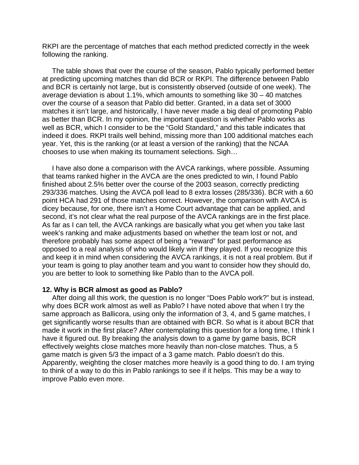RKPI are the percentage of matches that each method predicted correctly in the week following the ranking.

 The table shows that over the course of the season, Pablo typically performed better at predicting upcoming matches than did BCR or RKPI. The difference between Pablo and BCR is certainly not large, but is consistently observed (outside of one week). The average deviation is about 1.1%, which amounts to something like 30 – 40 matches over the course of a season that Pablo did better. Granted, in a data set of 3000 matches it isn't large, and historically, I have never made a big deal of promoting Pablo as better than BCR. In my opinion, the important question is whether Pablo works as well as BCR, which I consider to be the "Gold Standard," and this table indicates that indeed it does. RKPI trails well behind, missing more than 100 additional matches each year. Yet, this is the ranking (or at least a version of the ranking) that the NCAA chooses to use when making its tournament selections. Sigh…

 I have also done a comparison with the AVCA rankings, where possible. Assuming that teams ranked higher in the AVCA are the ones predicted to win, I found Pablo finished about 2.5% better over the course of the 2003 season, correctly predicting 293/336 matches. Using the AVCA poll lead to 8 extra losses (285/336). BCR with a 60 point HCA had 291 of those matches correct. However, the comparison with AVCA is dicey because, for one, there isn't a Home Court advantage that can be applied, and second, it's not clear what the real purpose of the AVCA rankings are in the first place. As far as I can tell, the AVCA rankings are basically what you get when you take last week's ranking and make adjustments based on whether the team lost or not, and therefore probably has some aspect of being a "reward" for past performance as opposed to a real analysis of who would likely win if they played. If you recognize this and keep it in mind when considering the AVCA rankings, it is not a real problem. But if your team is going to play another team and you want to consider how they should do, you are better to look to something like Pablo than to the AVCA poll.

#### **12. Why is BCR almost as good as Pablo?**

 After doing all this work, the question is no longer "Does Pablo work?" but is instead, why does BCR work almost as well as Pablo? I have noted above that when I try the same approach as Ballicora, using only the information of 3, 4, and 5 game matches, I get significantly worse results than are obtained with BCR. So what is it about BCR that made it work in the first place? After contemplating this question for a long time, I think I have it figured out. By breaking the analysis down to a game by game basis, BCR effectively weights close matches more heavily than non-close matches. Thus, a 5 game match is given 5/3 the impact of a 3 game match. Pablo doesn't do this. Apparently, weighting the closer matches more heavily is a good thing to do. I am trying to think of a way to do this in Pablo rankings to see if it helps. This may be a way to improve Pablo even more.